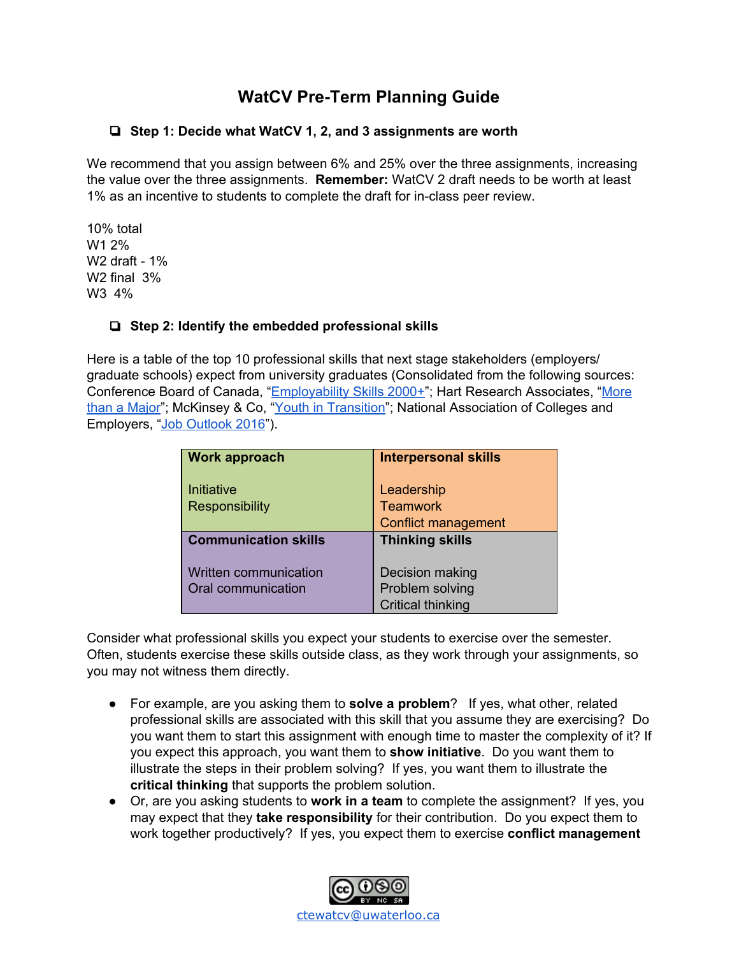# **WatCV Pre-Term Planning Guide**

## ❏ **Step 1: Decide what WatCV 1, 2, and 3 assignments are worth**

We recommend that you assign between 6% and 25% over the three assignments, increasing the value over the three assignments. **Remember:** WatCV 2 draft needs to be worth at least 1% as an incentive to students to complete the draft for in-class peer review.

10% total W1 2% W2 draft - 1% W2 final 3% W3 4%

## ❏ **Step 2: Identify the embedded professional skills**

Here is a table of the top 10 professional skills that next stage stakeholders (employers/ graduate schools) expect from university graduates (Consolidated from the following sources: Conference Board of Canada, "[Employability](http://www.conferenceboard.ca/Libraries/EDUC_PUBLIC/esp2000.sflb) Skills 2000+"; Hart Research Associates, "[More](https://www.aacu.org/sites/default/files/files/LEAP/2013_EmployerSurvey.pdf) than a [Major](https://www.aacu.org/sites/default/files/files/LEAP/2013_EmployerSurvey.pdf)"; McKinsey & Co, "Youth in [Transition"](http://www.cacee.com/_Library/docs/Youth_in_transition_Bridging_Canadas_path_from_education_to_employment_2_.pdf); National Association of Colleges and Employers, "Job [Outlook](http://www.naceweb.org/s11182015/employers-look-for-in-new-hires.aspx) 2016").

| <b>Work approach</b>        | <b>Interpersonal skills</b> |
|-----------------------------|-----------------------------|
|                             |                             |
| Initiative                  | Leadership                  |
| <b>Responsibility</b>       | <b>Teamwork</b>             |
|                             | <b>Conflict management</b>  |
| <b>Communication skills</b> | <b>Thinking skills</b>      |
|                             |                             |
| Written communication       | Decision making             |
| Oral communication          | Problem solving             |
|                             | <b>Critical thinking</b>    |

Consider what professional skills you expect your students to exercise over the semester. Often, students exercise these skills outside class, as they work through your assignments, so you may not witness them directly.

- For example, are you asking them to **solve a problem**? If yes, what other, related professional skills are associated with this skill that you assume they are exercising? Do you want them to start this assignment with enough time to master the complexity of it? If you expect this approach, you want them to **show initiative**. Do you want them to illustrate the steps in their problem solving? If yes, you want them to illustrate the **critical thinking** that supports the problem solution.
- Or, are you asking students to **work in a team** to complete the assignment? If yes, you may expect that they **take responsibility** for their contribution. Do you expect them to work together productively? If yes, you expect them to exercise **conflict management**

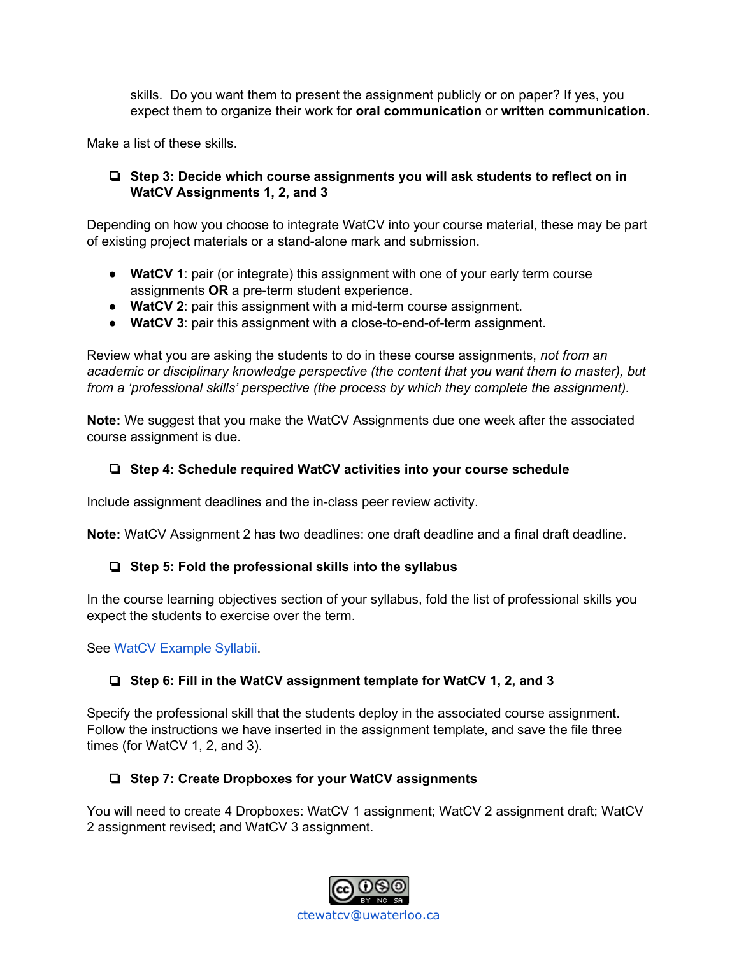skills. Do you want them to present the assignment publicly or on paper? If yes, you expect them to organize their work for **oral communication** or **written communication**.

Make a list of these skills.

## ❏ **Step 3: Decide which course assignments you will ask students to reflect on in WatCV Assignments 1, 2, and 3**

Depending on how you choose to integrate WatCV into your course material, these may be part of existing project materials or a stand-alone mark and submission.

- **WatCV 1**: pair (or integrate) this assignment with one of your early term course assignments **OR** a pre-term student experience.
- **WatCV 2**: pair this assignment with a mid-term course assignment.
- **WatCV 3**: pair this assignment with a close-to-end-of-term assignment.

Review what you are asking the students to do in these course assignments, *not from an academic or disciplinary knowledge perspective (the content that you want them to master), but from a 'professional skills' perspective (the process by which they complete the assignment).*

**Note:** We suggest that you make the WatCV Assignments due one week after the associated course assignment is due.

## ❏ **Step 4: Schedule required WatCV activities into your course schedule**

Include assignment deadlines and the in-class peer review activity.

**Note:** WatCV Assignment 2 has two deadlines: one draft deadline and a final draft deadline.

## ❏ **Step 5: Fold the professional skills into the syllabus**

In the course learning objectives section of your syllabus, fold the list of professional skills you expect the students to exercise over the term.

See WatCV [Example](https://watcv.uwaterloo.ca/rubricdemo/) Syllabii.

## ❏ **Step 6: Fill in the WatCV assignment template for WatCV 1, 2, and 3**

Specify the professional skill that the students deploy in the associated course assignment. Follow the instructions we have inserted in the assignment template, and save the file three times (for WatCV 1, 2, and 3).

## ❏ **Step 7: Create Dropboxes for your WatCV assignments**

You will need to create 4 Dropboxes: WatCV 1 assignment; WatCV 2 assignment draft; WatCV 2 assignment revised; and WatCV 3 assignment.